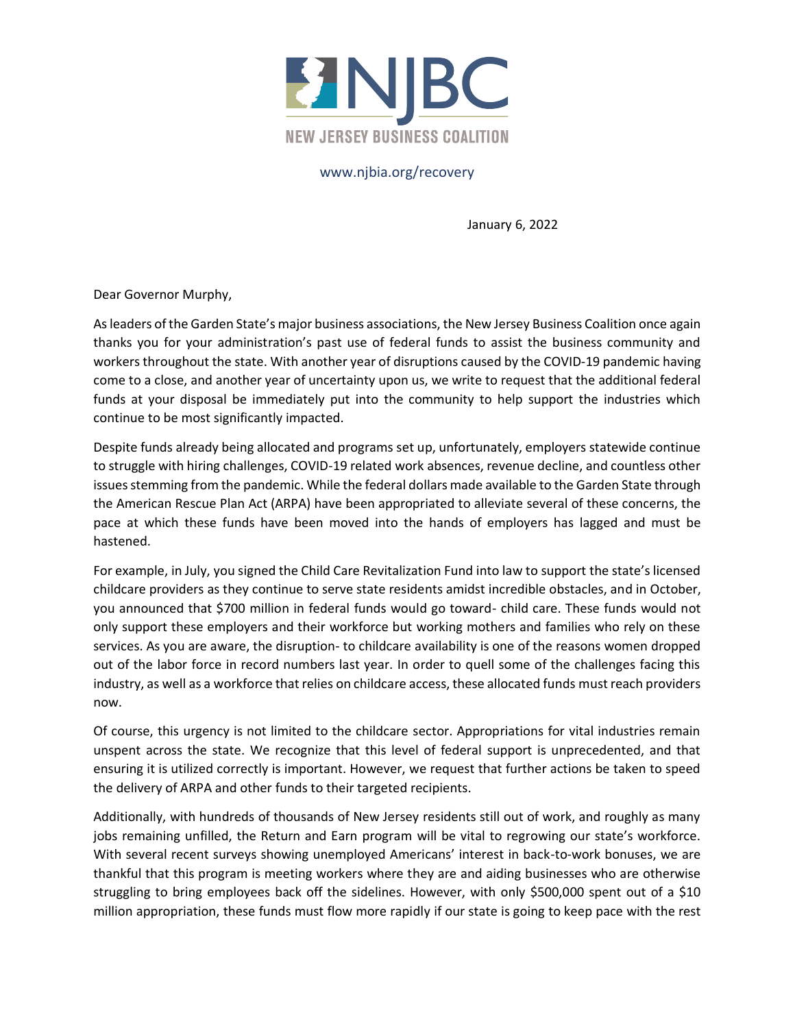

## www.njbia.org/recovery

January 6, 2022

Dear Governor Murphy,

As leaders of the Garden State's major business associations, the New Jersey Business Coalition once again thanks you for your administration's past use of federal funds to assist the business community and workers throughout the state. With another year of disruptions caused by the COVID-19 pandemic having come to a close, and another year of uncertainty upon us, we write to request that the additional federal funds at your disposal be immediately put into the community to help support the industries which continue to be most significantly impacted.

Despite funds already being allocated and programs set up, unfortunately, employers statewide continue to struggle with hiring challenges, COVID-19 related work absences, revenue decline, and countless other issues stemming from the pandemic. While the federal dollars made available to the Garden State through the American Rescue Plan Act (ARPA) have been appropriated to alleviate several of these concerns, the pace at which these funds have been moved into the hands of employers has lagged and must be hastened.

For example, in July, you signed the Child Care Revitalization Fund into law to support the state's licensed childcare providers as they continue to serve state residents amidst incredible obstacles, and in October, you announced that \$700 million in federal funds would go toward- child care. These funds would not only support these employers and their workforce but working mothers and families who rely on these services. As you are aware, the disruption- to childcare availability is one of the reasons women dropped out of the labor force in record numbers last year. In order to quell some of the challenges facing this industry, as well as a workforce that relies on childcare access, these allocated funds must reach providers now.

Of course, this urgency is not limited to the childcare sector. Appropriations for vital industries remain unspent across the state. We recognize that this level of federal support is unprecedented, and that ensuring it is utilized correctly is important. However, we request that further actions be taken to speed the delivery of ARPA and other funds to their targeted recipients.

Additionally, with hundreds of thousands of New Jersey residents still out of work, and roughly as many jobs remaining unfilled, the Return and Earn program will be vital to regrowing our state's workforce. With several recent surveys showing unemployed Americans' interest in back-to-work bonuses, we are thankful that this program is meeting workers where they are and aiding businesses who are otherwise struggling to bring employees back off the sidelines. However, with only \$500,000 spent out of a \$10 million appropriation, these funds must flow more rapidly if our state is going to keep pace with the rest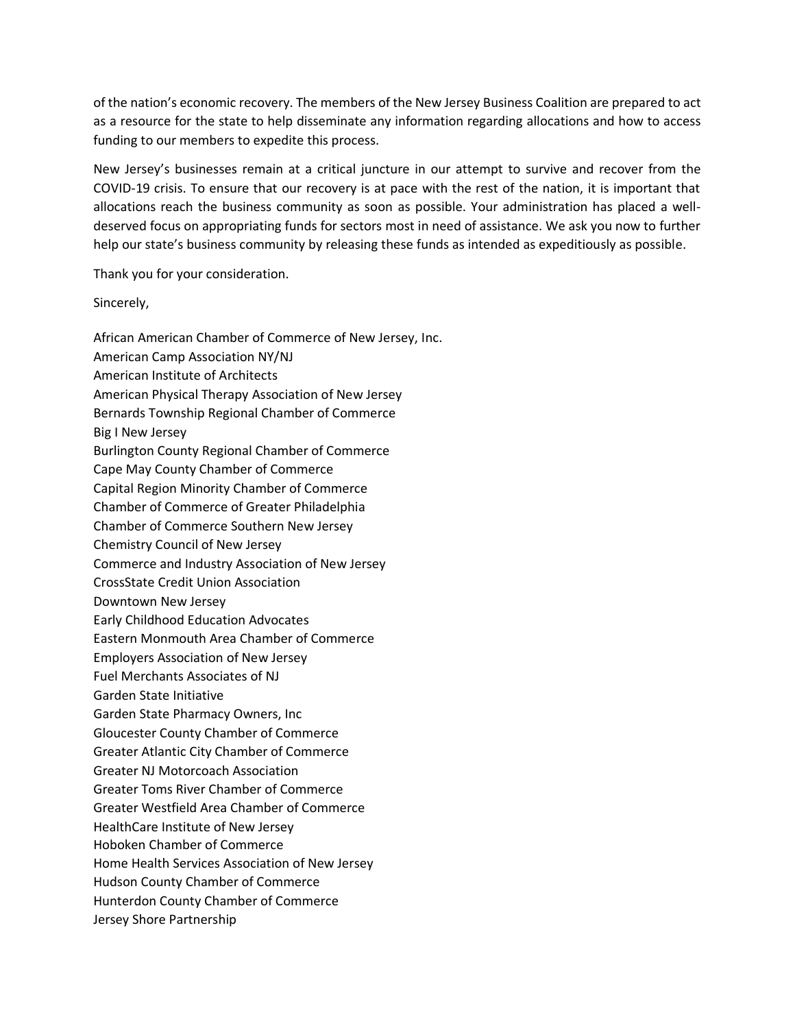of the nation's economic recovery. The members of the New Jersey Business Coalition are prepared to act as a resource for the state to help disseminate any information regarding allocations and how to access funding to our members to expedite this process.

New Jersey's businesses remain at a critical juncture in our attempt to survive and recover from the COVID-19 crisis. To ensure that our recovery is at pace with the rest of the nation, it is important that allocations reach the business community as soon as possible. Your administration has placed a welldeserved focus on appropriating funds for sectors most in need of assistance. We ask you now to further help our state's business community by releasing these funds as intended as expeditiously as possible.

Thank you for your consideration.

Sincerely,

African American Chamber of Commerce of New Jersey, Inc. American Camp Association NY/NJ American Institute of Architects American Physical Therapy Association of New Jersey Bernards Township Regional Chamber of Commerce Big I New Jersey Burlington County Regional Chamber of Commerce Cape May County Chamber of Commerce Capital Region Minority Chamber of Commerce Chamber of Commerce of Greater Philadelphia Chamber of Commerce Southern New Jersey Chemistry Council of New Jersey Commerce and Industry Association of New Jersey CrossState Credit Union Association Downtown New Jersey Early Childhood Education Advocates Eastern Monmouth Area Chamber of Commerce Employers Association of New Jersey Fuel Merchants Associates of NJ Garden State Initiative Garden State Pharmacy Owners, Inc Gloucester County Chamber of Commerce Greater Atlantic City Chamber of Commerce Greater NJ Motorcoach Association Greater Toms River Chamber of Commerce Greater Westfield Area Chamber of Commerce HealthCare Institute of New Jersey Hoboken Chamber of Commerce Home Health Services Association of New Jersey Hudson County Chamber of Commerce Hunterdon County Chamber of Commerce Jersey Shore Partnership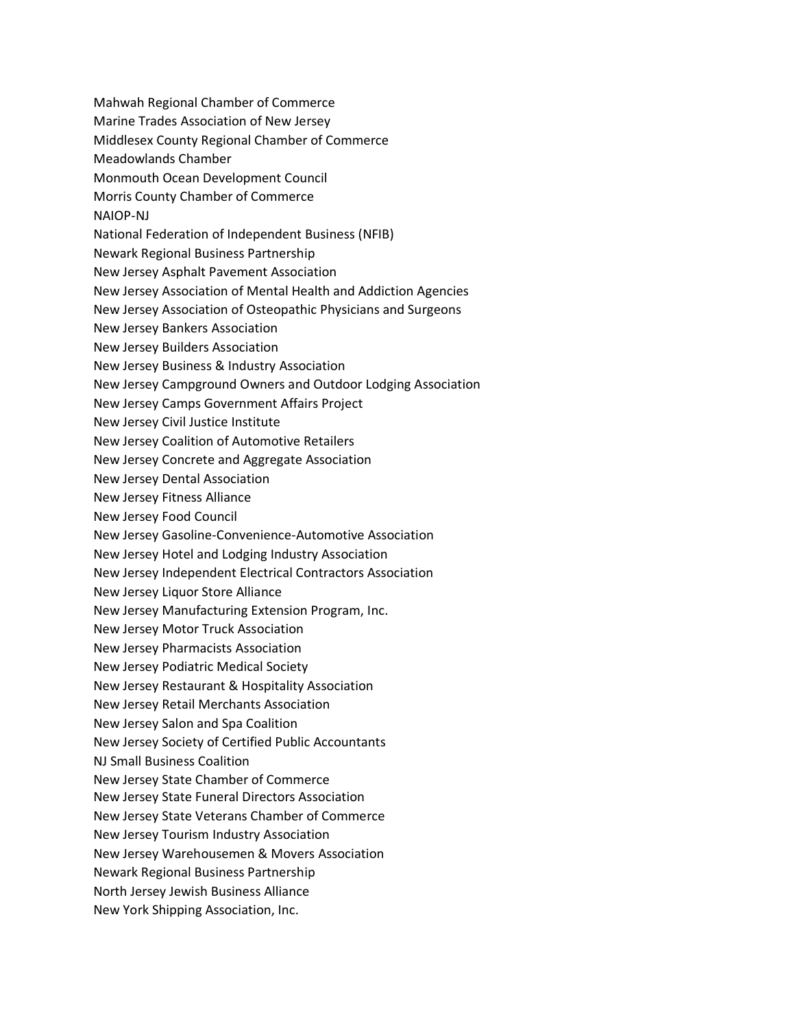Mahwah Regional Chamber of Commerce Marine Trades Association of New Jersey Middlesex County Regional Chamber of Commerce Meadowlands Chamber Monmouth Ocean Development Council Morris County Chamber of Commerce NAIOP-NJ National Federation of Independent Business (NFIB) Newark Regional Business Partnership New Jersey Asphalt Pavement Association New Jersey Association of Mental Health and Addiction Agencies New Jersey Association of Osteopathic Physicians and Surgeons New Jersey Bankers Association New Jersey Builders Association New Jersey Business & Industry Association New Jersey Campground Owners and Outdoor Lodging Association New Jersey Camps Government Affairs Project New Jersey Civil Justice Institute New Jersey Coalition of Automotive Retailers New Jersey Concrete and Aggregate Association New Jersey Dental Association New Jersey Fitness Alliance New Jersey Food Council New Jersey Gasoline-Convenience-Automotive Association New Jersey Hotel and Lodging Industry Association New Jersey Independent Electrical Contractors Association New Jersey Liquor Store Alliance New Jersey Manufacturing Extension Program, Inc. New Jersey Motor Truck Association New Jersey Pharmacists Association New Jersey Podiatric Medical Society New Jersey Restaurant & Hospitality Association New Jersey Retail Merchants Association New Jersey Salon and Spa Coalition New Jersey Society of Certified Public Accountants NJ Small Business Coalition New Jersey State Chamber of Commerce New Jersey State Funeral Directors Association New Jersey State Veterans Chamber of Commerce New Jersey Tourism Industry Association New Jersey Warehousemen & Movers Association Newark Regional Business Partnership North Jersey Jewish Business Alliance New York Shipping Association, Inc.